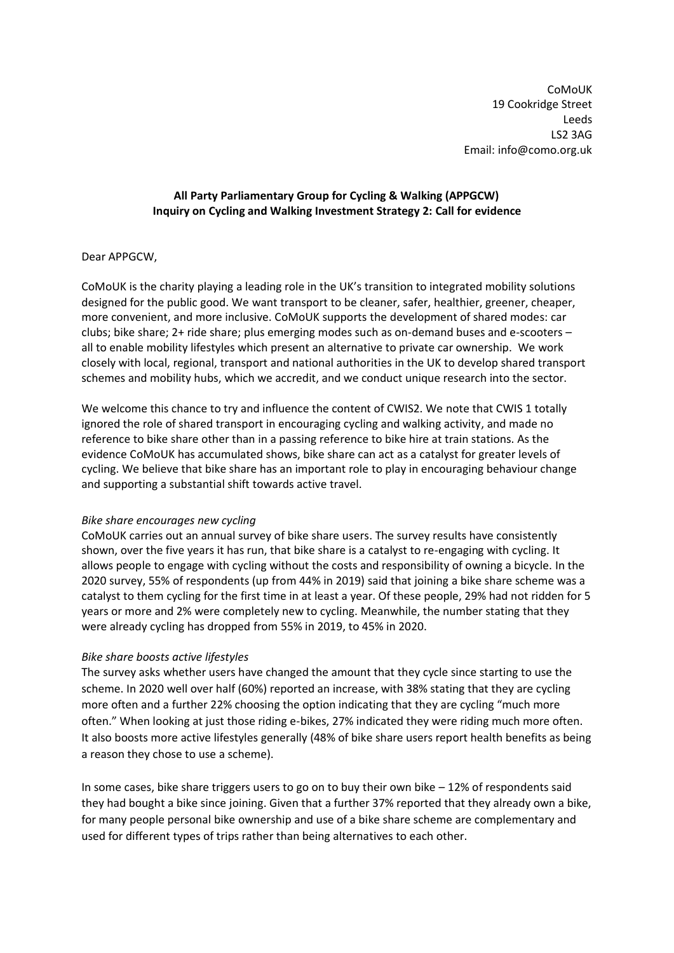CoMoUK 19 Cookridge Street Leeds LS2 3AG Email: info@como.org.uk

# **All Party Parliamentary Group for Cycling & Walking (APPGCW) Inquiry on Cycling and Walking Investment Strategy 2: Call for evidence**

# Dear APPGCW,

CoMoUK is the charity playing a leading role in the UK's transition to integrated mobility solutions designed for the public good. We want transport to be cleaner, safer, healthier, greener, cheaper, more convenient, and more inclusive. CoMoUK supports the development of shared modes: car clubs; bike share; 2+ ride share; plus emerging modes such as on-demand buses and e-scooters – all to enable mobility lifestyles which present an alternative to private car ownership. We work closely with local, regional, transport and national authorities in the UK to develop shared transport schemes and mobility hubs, which we accredit, and we conduct unique research into the sector.

We welcome this chance to try and influence the content of CWIS2. We note that CWIS 1 totally ignored the role of shared transport in encouraging cycling and walking activity, and made no reference to bike share other than in a passing reference to bike hire at train stations. As the evidence CoMoUK has accumulated shows, bike share can act as a catalyst for greater levels of cycling. We believe that bike share has an important role to play in encouraging behaviour change and supporting a substantial shift towards active travel.

## *Bike share encourages new cycling*

CoMoUK carries out an annual survey of bike share users. The survey results have consistently shown, over the five years it has run, that bike share is a catalyst to re-engaging with cycling. It allows people to engage with cycling without the costs and responsibility of owning a bicycle. In the 2020 survey, 55% of respondents (up from 44% in 2019) said that joining a bike share scheme was a catalyst to them cycling for the first time in at least a year. Of these people, 29% had not ridden for 5 years or more and 2% were completely new to cycling. Meanwhile, the number stating that they were already cycling has dropped from 55% in 2019, to 45% in 2020.

## *Bike share boosts active lifestyles*

The survey asks whether users have changed the amount that they cycle since starting to use the scheme. In 2020 well over half (60%) reported an increase, with 38% stating that they are cycling more often and a further 22% choosing the option indicating that they are cycling "much more often." When looking at just those riding e-bikes, 27% indicated they were riding much more often. It also boosts more active lifestyles generally (48% of bike share users report health benefits as being a reason they chose to use a scheme).

In some cases, bike share triggers users to go on to buy their own bike – 12% of respondents said they had bought a bike since joining. Given that a further 37% reported that they already own a bike, for many people personal bike ownership and use of a bike share scheme are complementary and used for different types of trips rather than being alternatives to each other.